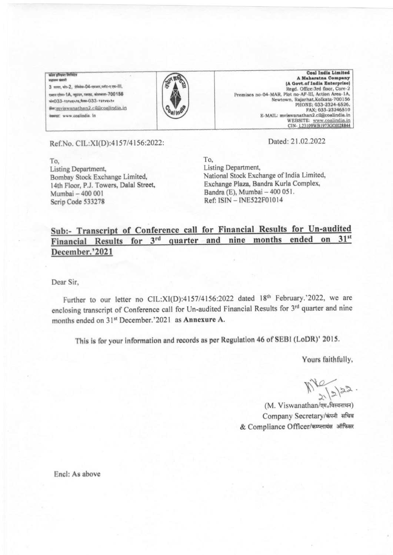कोल इण्डिया लिमिटेड अञ्चलन फंगली

3 तल्ला, बोर-2, प्रेमिसेस-04-एमआर, प्लॉट-ए एफ-III,  $\frac{1}{2}$ एक्शन एरिया-1A, न्यूडाउन, रजरहट, कोलकाता-700156 wha033- esevenes, those-033- esevenen <sub>输</sub>mviswanathan2.cil@coalindia.in iwang: www.coalindia. In



Coal India Limited<br>A Maharatna Company (A Govt.of India Enterprise) Regd. Office:3rd floor, Core-2 Premises no-04-MAR, Plot no-AF-III, Action Area-1A, Newtown, Rajarhat,Kolkata-700156<br>PHONE; 033-2324-6526,<br>FAX; 033-23246510 E-MAIL: mviswanathan2.cil@coalindia.in<br>WEBSITE: www.coalindia.in CIN-L23109WB1973GOI028844

Ref.No. CIL:XI(D):4157/4156:2022:

To, Listing Department, Bombay Stock Exchange Limited, 14th Floor, P.J. Towers, Dalal Street, Mumbai - 400 001 Scrip Code 533278

Dated:21.02.2022

To, Listing Department, National Stock Exchange of India Limited, Exchangc Plaza, Bandra Kurla Complex, Bandra (E), Mumbai - 400 051. Ref: ISIN - INE522F01014

#### Sub:- Transcript of Conference call for Financial Results for Un-audited quarter and nine months ended  $31<sup>st</sup>$ Financial Results for  $3<sup>rd</sup>$ on December.'2021

Dear Sir,

Further to our letter no CIL:XI(D):4157/4156:2022 dated 18<sup>th</sup> February.'2022, we are enclosing transcript of Conference call for Un-audited Financial Results for 3rd quarter and nine months ended on 31<sup>st</sup> December.'2021 as Annexure A.

This is for your information and records as per Regulation 46 of SEBI (LoDR)' 2015.

Yours faithfully,

 $\frac{1}{2}$ 

(M. Viswanathan/एम. विस्वनाथन) Company Secretary/कंपनी सचिव & Compliance Officer/कम्प्लायंस ऑफिसर

Encl: As above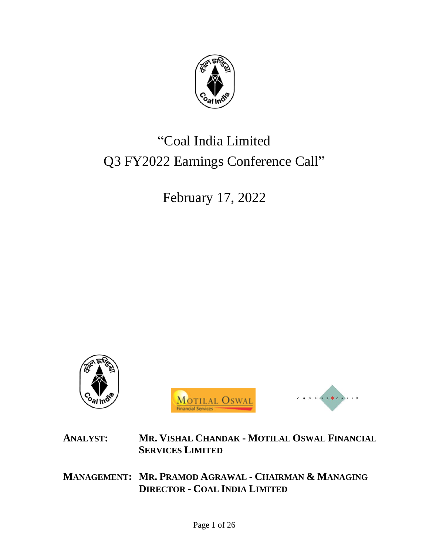

# "Coal India Limited Q3 FY2022 Earnings Conference Call"

February 17, 2022



**ANALYST: MR. VISHAL CHANDAK - MOTILAL OSWAL FINANCIAL SERVICES LIMITED**

**MANAGEMENT: MR. PRAMOD AGRAWAL - CHAIRMAN & MANAGING DIRECTOR - COAL INDIA LIMITED**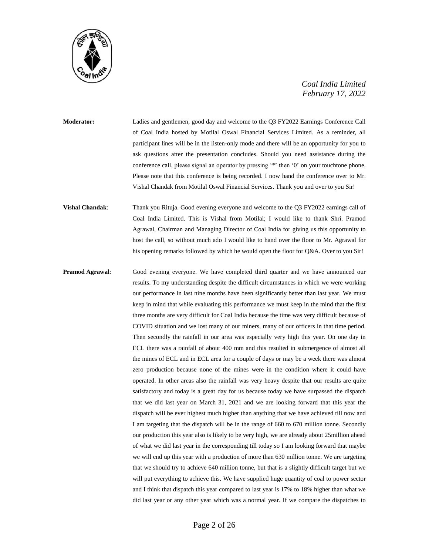

**Moderator:** Ladies and gentlemen, good day and welcome to the Q3 FY2022 Earnings Conference Call of Coal India hosted by Motilal Oswal Financial Services Limited. As a reminder, all participant lines will be in the listen-only mode and there will be an opportunity for you to ask questions after the presentation concludes. Should you need assistance during the conference call, please signal an operator by pressing '\*' then '0' on your touchtone phone. Please note that this conference is being recorded. I now hand the conference over to Mr. Vishal Chandak from Motilal Oswal Financial Services. Thank you and over to you Sir!

**Vishal Chandak**: Thank you Rituja. Good evening everyone and welcome to the Q3 FY2022 earnings call of Coal India Limited. This is Vishal from Motilal; I would like to thank Shri. Pramod Agrawal, Chairman and Managing Director of Coal India for giving us this opportunity to host the call, so without much ado I would like to hand over the floor to Mr. Agrawal for his opening remarks followed by which he would open the floor for Q&A. Over to you Sir!

**Pramod Agrawal:** Good evening everyone. We have completed third quarter and we have announced our results. To my understanding despite the difficult circumstances in which we were working our performance in last nine months have been significantly better than last year. We must keep in mind that while evaluating this performance we must keep in the mind that the first three months are very difficult for Coal India because the time was very difficult because of COVID situation and we lost many of our miners, many of our officers in that time period. Then secondly the rainfall in our area was especially very high this year. On one day in ECL there was a rainfall of about 400 mm and this resulted in submergence of almost all the mines of ECL and in ECL area for a couple of days or may be a week there was almost zero production because none of the mines were in the condition where it could have operated. In other areas also the rainfall was very heavy despite that our results are quite satisfactory and today is a great day for us because today we have surpassed the dispatch that we did last year on March 31, 2021 and we are looking forward that this year the dispatch will be ever highest much higher than anything that we have achieved till now and I am targeting that the dispatch will be in the range of 660 to 670 million tonne. Secondly our production this year also is likely to be very high, we are already about 25million ahead of what we did last year in the corresponding till today so I am looking forward that maybe we will end up this year with a production of more than 630 million tonne. We are targeting that we should try to achieve 640 million tonne, but that is a slightly difficult target but we will put everything to achieve this. We have supplied huge quantity of coal to power sector and I think that dispatch this year compared to last year is 17% to 18% higher than what we did last year or any other year which was a normal year. If we compare the dispatches to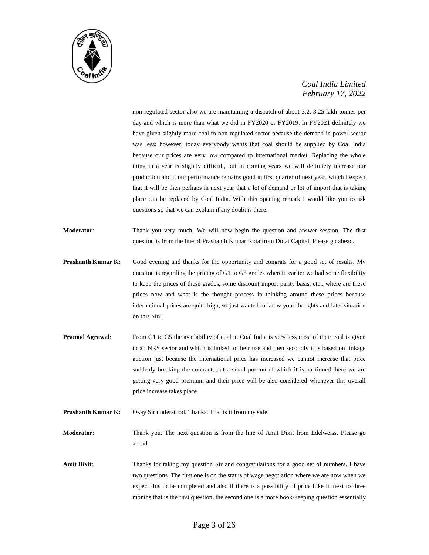

non-regulated sector also we are maintaining a dispatch of about 3.2, 3.25 lakh tonnes per day and which is more than what we did in FY2020 or FY2019. In FY2021 definitely we have given slightly more coal to non-regulated sector because the demand in power sector was less; however, today everybody wants that coal should be supplied by Coal India because our prices are very low compared to international market. Replacing the whole thing in a year is slightly difficult, but in coming years we will definitely increase our production and if our performance remains good in first quarter of next year, which I expect that it will be then perhaps in next year that a lot of demand or lot of import that is taking place can be replaced by Coal India. With this opening remark I would like you to ask questions so that we can explain if any doubt is there.

**Moderator**: Thank you very much. We will now begin the question and answer session. The first question is from the line of Prashanth Kumar Kota from Dolat Capital. Please go ahead.

- **Prashanth Kumar K:** Good evening and thanks for the opportunity and congrats for a good set of results. My question is regarding the pricing of G1 to G5 grades wherein earlier we had some flexibility to keep the prices of these grades, some discount import parity basis, etc., where are these prices now and what is the thought process in thinking around these prices because international prices are quite high, so just wanted to know your thoughts and later situation on this Sir?
- **Pramod Agrawal:** From G1 to G5 the availability of coal in Coal India is very less most of their coal is given to an NRS sector and which is linked to their use and then secondly it is based on linkage auction just because the international price has increased we cannot increase that price suddenly breaking the contract, but a small portion of which it is auctioned there we are getting very good premium and their price will be also considered whenever this overall price increase takes place.
- **Prashanth Kumar K:** Okay Sir understood. Thanks. That is it from my side.

**Moderator**: Thank you. The next question is from the line of Amit Dixit from Edelweiss. Please go ahead.

Amit Dixit: Thanks for taking my question Sir and congratulations for a good set of numbers. I have two questions. The first one is on the status of wage negotiation where we are now when we expect this to be completed and also if there is a possibility of price hike in next to three months that is the first question, the second one is a more book-keeping question essentially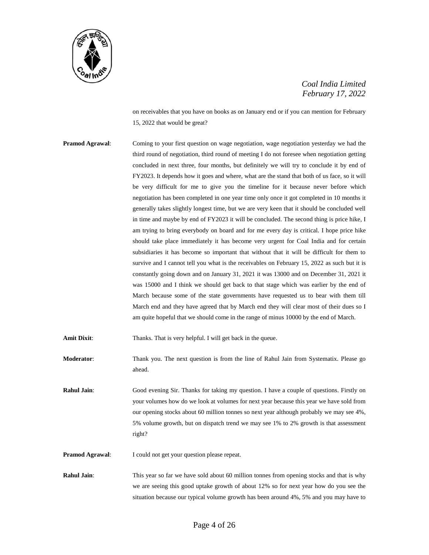

on receivables that you have on books as on January end or if you can mention for February 15, 2022 that would be great?

**Pramod Agrawal:** Coming to your first question on wage negotiation, wage negotiation yesterday we had the third round of negotiation, third round of meeting I do not foresee when negotiation getting concluded in next three, four months, but definitely we will try to conclude it by end of FY2023. It depends how it goes and where, what are the stand that both of us face, so it will be very difficult for me to give you the timeline for it because never before which negotiation has been completed in one year time only once it got completed in 10 months it generally takes slightly longest time, but we are very keen that it should be concluded well in time and maybe by end of FY2023 it will be concluded. The second thing is price hike, I am trying to bring everybody on board and for me every day is critical. I hope price hike should take place immediately it has become very urgent for Coal India and for certain subsidiaries it has become so important that without that it will be difficult for them to survive and I cannot tell you what is the receivables on February 15, 2022 as such but it is constantly going down and on January 31, 2021 it was 13000 and on December 31, 2021 it was 15000 and I think we should get back to that stage which was earlier by the end of March because some of the state governments have requested us to bear with them till March end and they have agreed that by March end they will clear most of their dues so I am quite hopeful that we should come in the range of minus 10000 by the end of March.

**Amit Dixit:** Thanks. That is very helpful. I will get back in the queue.

**Moderator**: Thank you. The next question is from the line of Rahul Jain from Systematix. Please go ahead.

**Rahul Jain**: Good evening Sir. Thanks for taking my question. I have a couple of questions. Firstly on your volumes how do we look at volumes for next year because this year we have sold from our opening stocks about 60 million tonnes so next year although probably we may see 4%, 5% volume growth, but on dispatch trend we may see 1% to 2% growth is that assessment right?

**Pramod Agrawal:** I could not get your question please repeat.

**Rahul Jain:** This year so far we have sold about 60 million tonnes from opening stocks and that is why we are seeing this good uptake growth of about 12% so for next year how do you see the situation because our typical volume growth has been around 4%, 5% and you may have to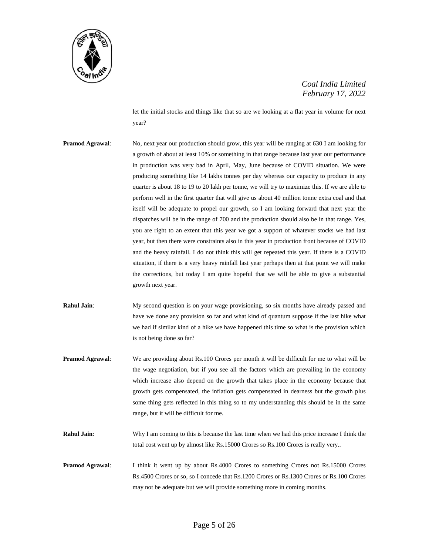

let the initial stocks and things like that so are we looking at a flat year in volume for next year?

- **Pramod Agrawal:** No, next year our production should grow, this year will be ranging at 630 I am looking for a growth of about at least 10% or something in that range because last year our performance in production was very bad in April, May, June because of COVID situation. We were producing something like 14 lakhs tonnes per day whereas our capacity to produce in any quarter is about 18 to 19 to 20 lakh per tonne, we will try to maximize this. If we are able to perform well in the first quarter that will give us about 40 million tonne extra coal and that itself will be adequate to propel our growth, so I am looking forward that next year the dispatches will be in the range of 700 and the production should also be in that range. Yes, you are right to an extent that this year we got a support of whatever stocks we had last year, but then there were constraints also in this year in production front because of COVID and the heavy rainfall. I do not think this will get repeated this year. If there is a COVID situation, if there is a very heavy rainfall last year perhaps then at that point we will make the corrections, but today I am quite hopeful that we will be able to give a substantial growth next year.
- **Rahul Jain**: My second question is on your wage provisioning, so six months have already passed and have we done any provision so far and what kind of quantum suppose if the last hike what we had if similar kind of a hike we have happened this time so what is the provision which is not being done so far?
- **Pramod Agrawal**: We are providing about Rs.100 Crores per month it will be difficult for me to what will be the wage negotiation, but if you see all the factors which are prevailing in the economy which increase also depend on the growth that takes place in the economy because that growth gets compensated, the inflation gets compensated in dearness but the growth plus some thing gets reflected in this thing so to my understanding this should be in the same range, but it will be difficult for me.
- **Rahul Jain**: Why I am coming to this is because the last time when we had this price increase I think the total cost went up by almost like Rs.15000 Crores so Rs.100 Crores is really very..
- **Pramod Agrawal**: I think it went up by about Rs.4000 Crores to something Crores not Rs.15000 Crores Rs.4500 Crores or so, so I concede that Rs.1200 Crores or Rs.1300 Crores or Rs.100 Crores may not be adequate but we will provide something more in coming months.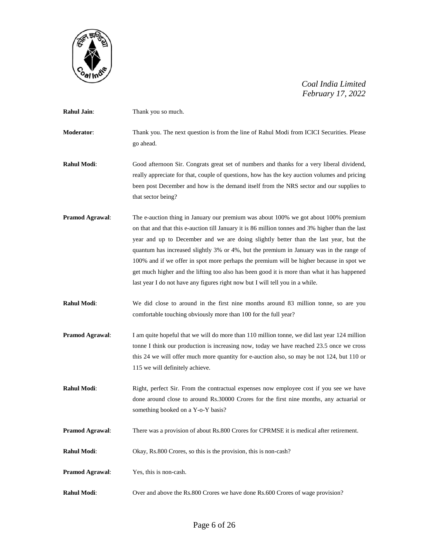

| <b>Rahul Jain:</b>     | Thank you so much.                                                                                                                                                                                                                                                                                                                                                                                                                                                                                                                                                                                                                                    |
|------------------------|-------------------------------------------------------------------------------------------------------------------------------------------------------------------------------------------------------------------------------------------------------------------------------------------------------------------------------------------------------------------------------------------------------------------------------------------------------------------------------------------------------------------------------------------------------------------------------------------------------------------------------------------------------|
| Moderator:             | Thank you. The next question is from the line of Rahul Modi from ICICI Securities. Please<br>go ahead.                                                                                                                                                                                                                                                                                                                                                                                                                                                                                                                                                |
| <b>Rahul Modi:</b>     | Good afternoon Sir. Congrats great set of numbers and thanks for a very liberal dividend,<br>really appreciate for that, couple of questions, how has the key auction volumes and pricing<br>been post December and how is the demand itself from the NRS sector and our supplies to<br>that sector being?                                                                                                                                                                                                                                                                                                                                            |
| <b>Pramod Agrawal:</b> | The e-auction thing in January our premium was about 100% we got about 100% premium<br>on that and that this e-auction till January it is 86 million tonnes and 3% higher than the last<br>year and up to December and we are doing slightly better than the last year, but the<br>quantum has increased slightly 3% or 4%, but the premium in January was in the range of<br>100% and if we offer in spot more perhaps the premium will be higher because in spot we<br>get much higher and the lifting too also has been good it is more than what it has happened<br>last year I do not have any figures right now but I will tell you in a while. |
| <b>Rahul Modi:</b>     | We did close to around in the first nine months around 83 million tonne, so are you<br>comfortable touching obviously more than 100 for the full year?                                                                                                                                                                                                                                                                                                                                                                                                                                                                                                |
| <b>Pramod Agrawal:</b> | I am quite hopeful that we will do more than 110 million tonne, we did last year 124 million<br>tonne I think our production is increasing now, today we have reached 23.5 once we cross<br>this 24 we will offer much more quantity for e-auction also, so may be not 124, but 110 or<br>115 we will definitely achieve.                                                                                                                                                                                                                                                                                                                             |
| <b>Rahul Modi:</b>     | Right, perfect Sir. From the contractual expenses now employee cost if you see we have<br>done around close to around Rs.30000 Crores for the first nine months, any actuarial or<br>something booked on a Y-o-Y basis?                                                                                                                                                                                                                                                                                                                                                                                                                               |
| <b>Pramod Agrawal:</b> | There was a provision of about Rs.800 Crores for CPRMSE it is medical after retirement.                                                                                                                                                                                                                                                                                                                                                                                                                                                                                                                                                               |
| Rahul Modi:            | Okay, Rs.800 Crores, so this is the provision, this is non-cash?                                                                                                                                                                                                                                                                                                                                                                                                                                                                                                                                                                                      |
| Pramod Agrawal:        | Yes, this is non-cash.                                                                                                                                                                                                                                                                                                                                                                                                                                                                                                                                                                                                                                |
| Rahul Modi:            | Over and above the Rs.800 Crores we have done Rs.600 Crores of wage provision?                                                                                                                                                                                                                                                                                                                                                                                                                                                                                                                                                                        |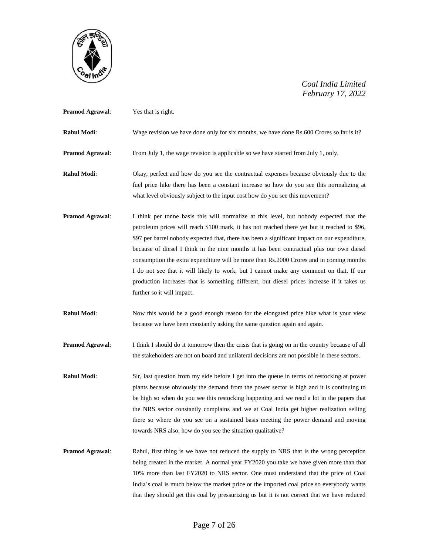

| <b>Pramod Agrawal:</b> | Yes that is right.                                                                                                                                                                                                                                                 |
|------------------------|--------------------------------------------------------------------------------------------------------------------------------------------------------------------------------------------------------------------------------------------------------------------|
| Rahul Modi:            | Wage revision we have done only for six months, we have done Rs.600 Crores so far is it?                                                                                                                                                                           |
| <b>Pramod Agrawal:</b> | From July 1, the wage revision is applicable so we have started from July 1, only.                                                                                                                                                                                 |
| Rahul Modi:            | Okay, perfect and how do you see the contractual expenses because obviously due to the<br>fuel price hike there has been a constant increase so how do you see this normalizing at<br>what level obviously subject to the input cost how do you see this movement? |

- **Pramod Agrawal**: I think per tonne basis this will normalize at this level, but nobody expected that the petroleum prices will reach \$100 mark, it has not reached there yet but it reached to \$96, \$97 per barrel nobody expected that, there has been a significant impact on our expenditure, because of diesel I think in the nine months it has been contractual plus our own diesel consumption the extra expenditure will be more than Rs.2000 Crores and in coming months I do not see that it will likely to work, but I cannot make any comment on that. If our production increases that is something different, but diesel prices increase if it takes us further so it will impact.
- **Rahul Modi**: Now this would be a good enough reason for the elongated price hike what is your view because we have been constantly asking the same question again and again.
- **Pramod Agrawal:** I think I should do it tomorrow then the crisis that is going on in the country because of all the stakeholders are not on board and unilateral decisions are not possible in these sectors.
- **Rahul Modi:** Sir, last question from my side before I get into the queue in terms of restocking at power plants because obviously the demand from the power sector is high and it is continuing to be high so when do you see this restocking happening and we read a lot in the papers that the NRS sector constantly complains and we at Coal India get higher realization selling there so where do you see on a sustained basis meeting the power demand and moving towards NRS also, how do you see the situation qualitative?
- **Pramod Agrawal:** Rahul, first thing is we have not reduced the supply to NRS that is the wrong perception being created in the market. A normal year FY2020 you take we have given more than that 10% more than last FY2020 to NRS sector. One must understand that the price of Coal India's coal is much below the market price or the imported coal price so everybody wants that they should get this coal by pressurizing us but it is not correct that we have reduced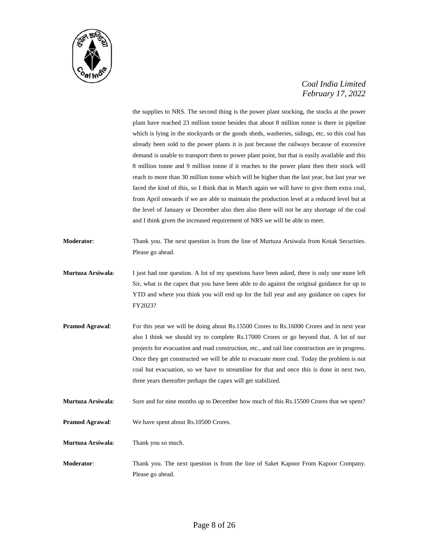

the supplies to NRS. The second thing is the power plant stocking, the stocks at the power plant have reached 23 million tonne besides that about 8 million tonne is there in pipeline which is lying in the stockyards or the goods sheds, washeries, sidings, etc, so this coal has already been sold to the power plants it is just because the railways because of excessive demand is unable to transport them to power plant point, but that is easily available and this 8 million tonne and 9 million tonne if it reaches to the power plant then their stock will reach to more than 30 million tonne which will be higher than the last year, but last year we faced the kind of this, so I think that in March again we will have to give them extra coal, from April onwards if we are able to maintain the production level at a reduced level but at the level of January or December also then also there will not be any shortage of the coal and I think given the increased requirement of NRS we will be able to meet.

- **Moderator**: Thank you. The next question is from the line of Murtuza Arsiwala from Kotak Securities. Please go ahead.
- **Murtuza Arsiwala**: I just had one question. A lot of my questions have been asked, there is only one more left Sir, what is the capex that you have been able to do against the original guidance for up to YTD and where you think you will end up for the full year and any guidance on capex for FY2023?
- **Pramod Agrawal:** For this year we will be doing about Rs.15500 Crores to Rs.16000 Crores and in next year also I think we should try to complete Rs.17000 Crores or go beyond that. A lot of our projects for evacuation and road construction, etc., and rail line construction are in progress. Once they get constructed we will be able to evacuate more coal. Today the problem is not coal but evacuation, so we have to streamline for that and once this is done in next two, three years thereafter perhaps the capex will get stabilized.
- **Murtuza Arsiwala**: Sure and for nine months up to December how much of this Rs.15500 Crores that we spent?
- **Pramod Agrawal:** We have spent about Rs.10500 Crores.

**Murtuza Arsiwala**: Thank you so much.

**Moderator**: Thank you. The next question is from the line of Saket Kapoor From Kapoor Company. Please go ahead.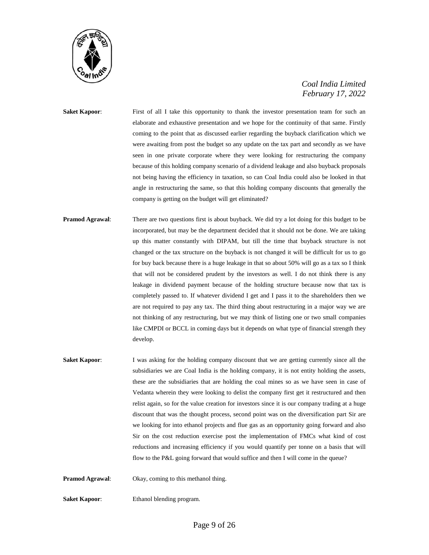

**Saket Kapoor:** First of all I take this opportunity to thank the investor presentation team for such an elaborate and exhaustive presentation and we hope for the continuity of that same. Firstly coming to the point that as discussed earlier regarding the buyback clarification which we were awaiting from post the budget so any update on the tax part and secondly as we have seen in one private corporate where they were looking for restructuring the company because of this holding company scenario of a dividend leakage and also buyback proposals not being having the efficiency in taxation, so can Coal India could also be looked in that angle in restructuring the same, so that this holding company discounts that generally the company is getting on the budget will get eliminated?

- **Pramod Agrawal**: There are two questions first is about buyback. We did try a lot doing for this budget to be incorporated, but may be the department decided that it should not be done. We are taking up this matter constantly with DIPAM, but till the time that buyback structure is not changed or the tax structure on the buyback is not changed it will be difficult for us to go for buy back because there is a huge leakage in that so about 50% will go as a tax so I think that will not be considered prudent by the investors as well. I do not think there is any leakage in dividend payment because of the holding structure because now that tax is completely passed to. If whatever dividend I get and I pass it to the shareholders then we are not required to pay any tax. The third thing about restructuring in a major way we are not thinking of any restructuring, but we may think of listing one or two small companies like CMPDI or BCCL in coming days but it depends on what type of financial strength they develop.
- **Saket Kapoor:** I was asking for the holding company discount that we are getting currently since all the subsidiaries we are Coal India is the holding company, it is not entity holding the assets, these are the subsidiaries that are holding the coal mines so as we have seen in case of Vedanta wherein they were looking to delist the company first get it restructured and then relist again, so for the value creation for investors since it is our company trading at a huge discount that was the thought process, second point was on the diversification part Sir are we looking for into ethanol projects and flue gas as an opportunity going forward and also Sir on the cost reduction exercise post the implementation of FMCs what kind of cost reductions and increasing efficiency if you would quantify per tonne on a basis that will flow to the P&L going forward that would suffice and then I will come in the queue?
- **Pramod Agrawal:** Okay, coming to this methanol thing.

**Saket Kapoor:** Ethanol blending program.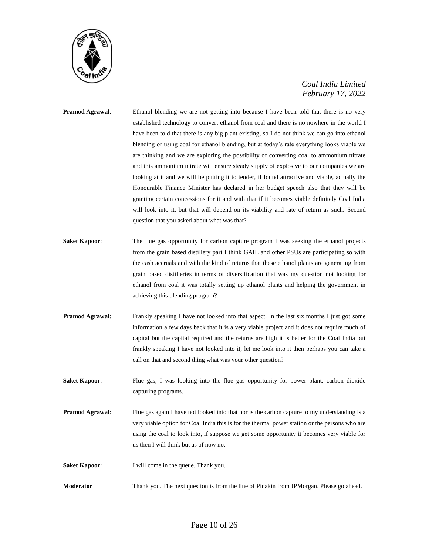

# **Pramod Agrawal:** Ethanol blending we are not getting into because I have been told that there is no very established technology to convert ethanol from coal and there is no nowhere in the world I have been told that there is any big plant existing, so I do not think we can go into ethanol blending or using coal for ethanol blending, but at today's rate everything looks viable we are thinking and we are exploring the possibility of converting coal to ammonium nitrate and this ammonium nitrate will ensure steady supply of explosive to our companies we are looking at it and we will be putting it to tender, if found attractive and viable, actually the Honourable Finance Minister has declared in her budget speech also that they will be granting certain concessions for it and with that if it becomes viable definitely Coal India will look into it, but that will depend on its viability and rate of return as such. Second question that you asked about what was that?

- **Saket Kapoor:** The flue gas opportunity for carbon capture program I was seeking the ethanol projects from the grain based distillery part I think GAIL and other PSUs are participating so with the cash accruals and with the kind of returns that these ethanol plants are generating from grain based distilleries in terms of diversification that was my question not looking for ethanol from coal it was totally setting up ethanol plants and helping the government in achieving this blending program?
- **Pramod Agrawal:** Frankly speaking I have not looked into that aspect. In the last six months I just got some information a few days back that it is a very viable project and it does not require much of capital but the capital required and the returns are high it is better for the Coal India but frankly speaking I have not looked into it, let me look into it then perhaps you can take a call on that and second thing what was your other question?
- **Saket Kapoor:** Flue gas, I was looking into the flue gas opportunity for power plant, carbon dioxide capturing programs.
- **Pramod Agrawal:** Flue gas again I have not looked into that nor is the carbon capture to my understanding is a very viable option for Coal India this is for the thermal power station or the persons who are using the coal to look into, if suppose we get some opportunity it becomes very viable for us then I will think but as of now no.
- **Saket Kapoor:** I will come in the queue. Thank you.
- **Moderator** Thank you. The next question is from the line of Pinakin from JPMorgan. Please go ahead.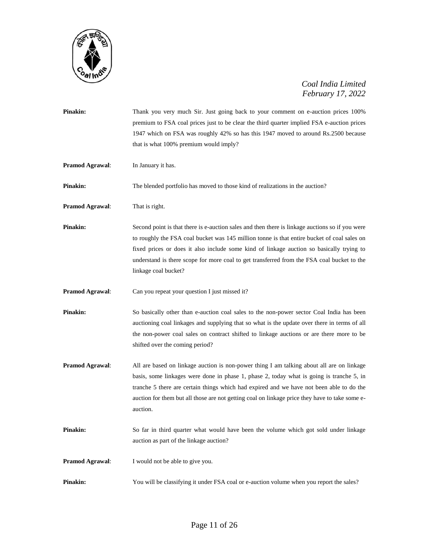

| Pinakin:               | Thank you very much Sir. Just going back to your comment on e-auction prices 100%<br>premium to FSA coal prices just to be clear the third quarter implied FSA e-auction prices<br>1947 which on FSA was roughly 42% so has this 1947 moved to around Rs.2500 because<br>that is what 100% premium would imply?                                                                                                  |
|------------------------|------------------------------------------------------------------------------------------------------------------------------------------------------------------------------------------------------------------------------------------------------------------------------------------------------------------------------------------------------------------------------------------------------------------|
| Pramod Agrawal:        | In January it has.                                                                                                                                                                                                                                                                                                                                                                                               |
| Pinakin:               | The blended portfolio has moved to those kind of realizations in the auction?                                                                                                                                                                                                                                                                                                                                    |
| <b>Pramod Agrawal:</b> | That is right.                                                                                                                                                                                                                                                                                                                                                                                                   |
| Pinakin:               | Second point is that there is e-auction sales and then there is linkage auctions so if you were<br>to roughly the FSA coal bucket was 145 million tonne is that entire bucket of coal sales on<br>fixed prices or does it also include some kind of linkage auction so basically trying to<br>understand is there scope for more coal to get transferred from the FSA coal bucket to the<br>linkage coal bucket? |
| Pramod Agrawal:        | Can you repeat your question I just missed it?                                                                                                                                                                                                                                                                                                                                                                   |
| Pinakin:               | So basically other than e-auction coal sales to the non-power sector Coal India has been<br>auctioning coal linkages and supplying that so what is the update over there in terms of all<br>the non-power coal sales on contract shifted to linkage auctions or are there more to be<br>shifted over the coming period?                                                                                          |
| Pramod Agrawal:        | All are based on linkage auction is non-power thing I am talking about all are on linkage<br>basis, some linkages were done in phase 1, phase 2, today what is going is tranche 5, in<br>tranche 5 there are certain things which had expired and we have not been able to do the<br>auction for them but all those are not getting coal on linkage price they have to take some e-<br>auction.                  |
| Pinakin:               | So far in third quarter what would have been the volume which got sold under linkage<br>auction as part of the linkage auction?                                                                                                                                                                                                                                                                                  |
| Pramod Agrawal:        | I would not be able to give you.                                                                                                                                                                                                                                                                                                                                                                                 |
| Pinakin:               | You will be classifying it under FSA coal or e-auction volume when you report the sales?                                                                                                                                                                                                                                                                                                                         |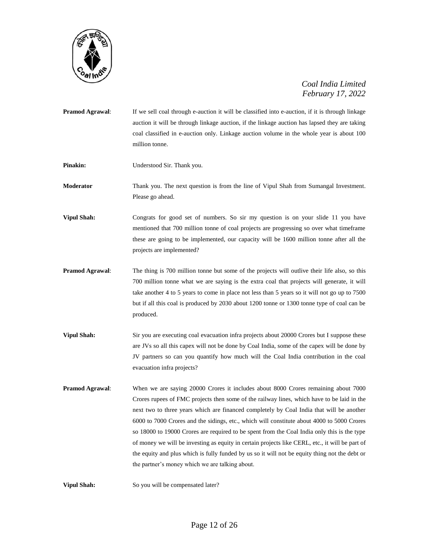

- **Pramod Agrawal:** If we sell coal through e-auction it will be classified into e-auction, if it is through linkage auction it will be through linkage auction, if the linkage auction has lapsed they are taking coal classified in e-auction only. Linkage auction volume in the whole year is about 100 million tonne.
- **Pinakin:** Understood Sir. Thank you.

**Moderator** Thank you. The next question is from the line of Vipul Shah from Sumangal Investment. Please go ahead.

**Vipul Shah:** Congrats for good set of numbers. So sir my question is on your slide 11 you have mentioned that 700 million tonne of coal projects are progressing so over what timeframe these are going to be implemented, our capacity will be 1600 million tonne after all the projects are implemented?

- **Pramod Agrawal**: The thing is 700 million tonne but some of the projects will outlive their life also, so this 700 million tonne what we are saying is the extra coal that projects will generate, it will take another 4 to 5 years to come in place not less than 5 years so it will not go up to 7500 but if all this coal is produced by 2030 about 1200 tonne or 1300 tonne type of coal can be produced.
- **Vipul Shah:** Sir you are executing coal evacuation infra projects about 20000 Crores but I suppose these are JVs so all this capex will not be done by Coal India, some of the capex will be done by JV partners so can you quantify how much will the Coal India contribution in the coal evacuation infra projects?
- **Pramod Agrawal:** When we are saying 20000 Crores it includes about 8000 Crores remaining about 7000 Crores rupees of FMC projects then some of the railway lines, which have to be laid in the next two to three years which are financed completely by Coal India that will be another 6000 to 7000 Crores and the sidings, etc., which will constitute about 4000 to 5000 Crores so 18000 to 19000 Crores are required to be spent from the Coal India only this is the type of money we will be investing as equity in certain projects like CERL, etc., it will be part of the equity and plus which is fully funded by us so it will not be equity thing not the debt or the partner's money which we are talking about.

**Vipul Shah:** So you will be compensated later?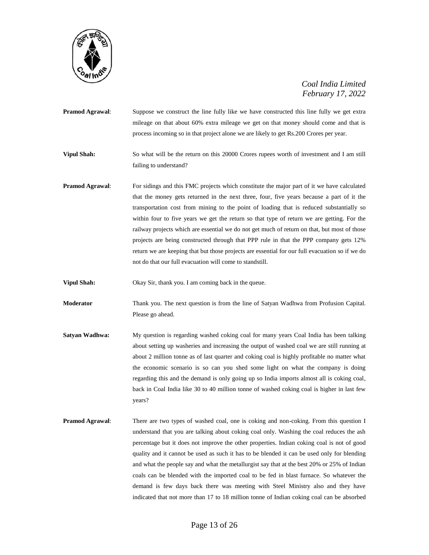

- **Pramod Agrawal**: Suppose we construct the line fully like we have constructed this line fully we get extra mileage on that about 60% extra mileage we get on that money should come and that is process incoming so in that project alone we are likely to get Rs.200 Crores per year.
- **Vipul Shah:** So what will be the return on this 20000 Crores rupees worth of investment and I am still failing to understand?
- **Pramod Agrawal:** For sidings and this FMC projects which constitute the major part of it we have calculated that the money gets returned in the next three, four, five years because a part of it the transportation cost from mining to the point of loading that is reduced substantially so within four to five years we get the return so that type of return we are getting. For the railway projects which are essential we do not get much of return on that, but most of those projects are being constructed through that PPP rule in that the PPP company gets 12% return we are keeping that but those projects are essential for our full evacuation so if we do not do that our full evacuation will come to standstill.

**Vipul Shah:** Okay Sir, thank you. I am coming back in the queue.

**Moderator** Thank you. The next question is from the line of Satyan Wadhwa from Profusion Capital. Please go ahead.

- **Satyan Wadhwa:** My question is regarding washed coking coal for many years Coal India has been talking about setting up washeries and increasing the output of washed coal we are still running at about 2 million tonne as of last quarter and coking coal is highly profitable no matter what the economic scenario is so can you shed some light on what the company is doing regarding this and the demand is only going up so India imports almost all is coking coal, back in Coal India like 30 to 40 million tonne of washed coking coal is higher in last few years?
- **Pramod Agrawal:** There are two types of washed coal, one is coking and non-coking. From this question I understand that you are talking about coking coal only. Washing the coal reduces the ash percentage but it does not improve the other properties. Indian coking coal is not of good quality and it cannot be used as such it has to be blended it can be used only for blending and what the people say and what the metallurgist say that at the best 20% or 25% of Indian coals can be blended with the imported coal to be fed in blast furnace. So whatever the demand is few days back there was meeting with Steel Ministry also and they have indicated that not more than 17 to 18 million tonne of Indian coking coal can be absorbed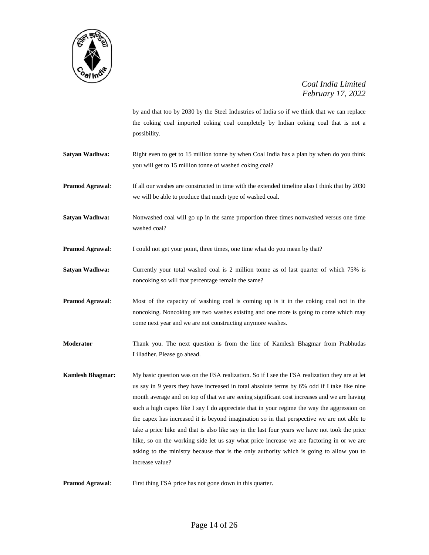

by and that too by 2030 by the Steel Industries of India so if we think that we can replace the coking coal imported coking coal completely by Indian coking coal that is not a possibility.

- **Satyan Wadhwa:** Right even to get to 15 million tonne by when Coal India has a plan by when do you think you will get to 15 million tonne of washed coking coal?
- **Pramod Agrawal**: If all our washes are constructed in time with the extended timeline also I think that by 2030 we will be able to produce that much type of washed coal.
- **Satyan Wadhwa:** Nonwashed coal will go up in the same proportion three times nonwashed versus one time washed coal?
- **Pramod Agrawal:** I could not get your point, three times, one time what do you mean by that?
- **Satyan Wadhwa:** Currently your total washed coal is 2 million tonne as of last quarter of which 75% is noncoking so will that percentage remain the same?
- **Pramod Agrawal:** Most of the capacity of washing coal is coming up is it in the coking coal not in the noncoking. Noncoking are two washes existing and one more is going to come which may come next year and we are not constructing anymore washes.
- **Moderator** Thank you. The next question is from the line of Kamlesh Bhagmar from Prabhudas Lilladher. Please go ahead.
- **Kamlesh Bhagmar:** My basic question was on the FSA realization. So if I see the FSA realization they are at let us say in 9 years they have increased in total absolute terms by 6% odd if I take like nine month average and on top of that we are seeing significant cost increases and we are having such a high capex like I say I do appreciate that in your regime the way the aggression on the capex has increased it is beyond imagination so in that perspective we are not able to take a price hike and that is also like say in the last four years we have not took the price hike, so on the working side let us say what price increase we are factoring in or we are asking to the ministry because that is the only authority which is going to allow you to increase value?

**Pramod Agrawal:** First thing FSA price has not gone down in this quarter.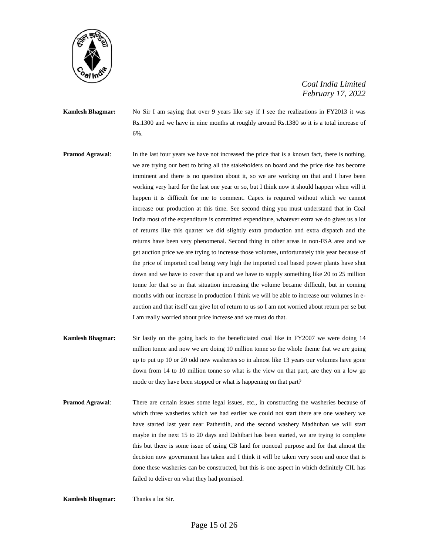

**Kamlesh Bhagmar:** No Sir I am saying that over 9 years like say if I see the realizations in FY2013 it was Rs.1300 and we have in nine months at roughly around Rs.1380 so it is a total increase of 6%.

- **Pramod Agrawal:** In the last four years we have not increased the price that is a known fact, there is nothing, we are trying our best to bring all the stakeholders on board and the price rise has become imminent and there is no question about it, so we are working on that and I have been working very hard for the last one year or so, but I think now it should happen when will it happen it is difficult for me to comment. Capex is required without which we cannot increase our production at this time. See second thing you must understand that in Coal India most of the expenditure is committed expenditure, whatever extra we do gives us a lot of returns like this quarter we did slightly extra production and extra dispatch and the returns have been very phenomenal. Second thing in other areas in non-FSA area and we get auction price we are trying to increase those volumes, unfortunately this year because of the price of imported coal being very high the imported coal based power plants have shut down and we have to cover that up and we have to supply something like 20 to 25 million tonne for that so in that situation increasing the volume became difficult, but in coming months with our increase in production I think we will be able to increase our volumes in eauction and that itself can give lot of return to us so I am not worried about return per se but I am really worried about price increase and we must do that.
- **Kamlesh Bhagmar:** Sir lastly on the going back to the beneficiated coal like in FY2007 we were doing 14 million tonne and now we are doing 10 million tonne so the whole theme that we are going up to put up 10 or 20 odd new washeries so in almost like 13 years our volumes have gone down from 14 to 10 million tonne so what is the view on that part, are they on a low go mode or they have been stopped or what is happening on that part?
- **Pramod Agrawal**: There are certain issues some legal issues, etc., in constructing the washeries because of which three washeries which we had earlier we could not start there are one washery we have started last year near Patherdih, and the second washery Madhuban we will start maybe in the next 15 to 20 days and Dahibari has been started, we are trying to complete this but there is some issue of using CB land for noncoal purpose and for that almost the decision now government has taken and I think it will be taken very soon and once that is done these washeries can be constructed, but this is one aspect in which definitely CIL has failed to deliver on what they had promised.

**Kamlesh Bhagmar:** Thanks a lot Sir.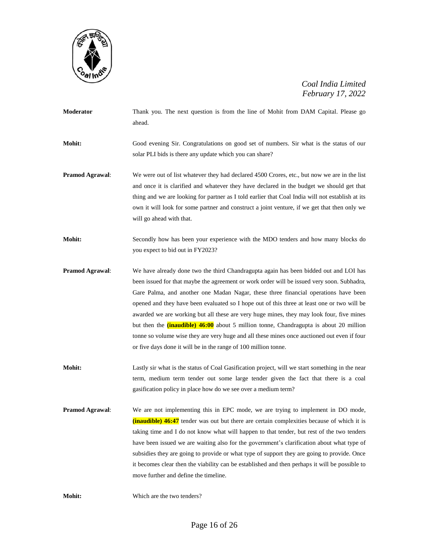

- **Moderator** Thank you. The next question is from the line of Mohit from DAM Capital. Please go ahead. **Mohit:** Good evening Sir. Congratulations on good set of numbers. Sir what is the status of our solar PLI bids is there any update which you can share?
- **Pramod Agrawal:** We were out of list whatever they had declared 4500 Crores, etc., but now we are in the list and once it is clarified and whatever they have declared in the budget we should get that thing and we are looking for partner as I told earlier that Coal India will not establish at its own it will look for some partner and construct a joint venture, if we get that then only we will go ahead with that.
- **Mohit:** Secondly how has been your experience with the MDO tenders and how many blocks do you expect to bid out in FY2023?
- **Pramod Agrawal**: We have already done two the third Chandragupta again has been bidded out and LOI has been issued for that maybe the agreement or work order will be issued very soon. Subhadra, Gare Palma, and another one Madan Nagar, these three financial operations have been opened and they have been evaluated so I hope out of this three at least one or two will be awarded we are working but all these are very huge mines, they may look four, five mines but then the **(inaudible) 46:00** about 5 million tonne, Chandragupta is about 20 million tonne so volume wise they are very huge and all these mines once auctioned out even if four or five days done it will be in the range of 100 million tonne.
- **Mohit:** Lastly sir what is the status of Coal Gasification project, will we start something in the near term, medium term tender out some large tender given the fact that there is a coal gasification policy in place how do we see over a medium term?
- **Pramod Agrawal**: We are not implementing this in EPC mode, we are trying to implement in DO mode, **(inaudible) 46:47** tender was out but there are certain complexities because of which it is taking time and I do not know what will happen to that tender, but rest of the two tenders have been issued we are waiting also for the government's clarification about what type of subsidies they are going to provide or what type of support they are going to provide. Once it becomes clear then the viability can be established and then perhaps it will be possible to move further and define the timeline.

**Mohit:** Which are the two tenders?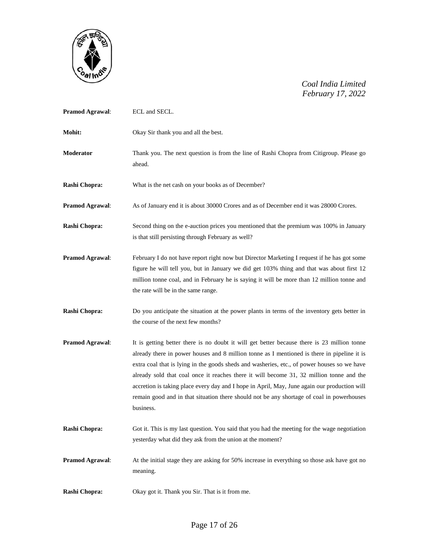

| Pramod Agrawal:        | ECL and SECL.                                                                                                                                                                                                                                                                                                                                                                                                                                                                                                                                                                                   |
|------------------------|-------------------------------------------------------------------------------------------------------------------------------------------------------------------------------------------------------------------------------------------------------------------------------------------------------------------------------------------------------------------------------------------------------------------------------------------------------------------------------------------------------------------------------------------------------------------------------------------------|
| Mohit:                 | Okay Sir thank you and all the best.                                                                                                                                                                                                                                                                                                                                                                                                                                                                                                                                                            |
| Moderator              | Thank you. The next question is from the line of Rashi Chopra from Citigroup. Please go<br>ahead.                                                                                                                                                                                                                                                                                                                                                                                                                                                                                               |
| Rashi Chopra:          | What is the net cash on your books as of December?                                                                                                                                                                                                                                                                                                                                                                                                                                                                                                                                              |
| Pramod Agrawal:        | As of January end it is about 30000 Crores and as of December end it was 28000 Crores.                                                                                                                                                                                                                                                                                                                                                                                                                                                                                                          |
| Rashi Chopra:          | Second thing on the e-auction prices you mentioned that the premium was 100% in January<br>is that still persisting through February as well?                                                                                                                                                                                                                                                                                                                                                                                                                                                   |
| Pramod Agrawal:        | February I do not have report right now but Director Marketing I request if he has got some<br>figure he will tell you, but in January we did get 103% thing and that was about first 12<br>million tonne coal, and in February he is saying it will be more than 12 million tonne and<br>the rate will be in the same range.                                                                                                                                                                                                                                                                   |
| Rashi Chopra:          | Do you anticipate the situation at the power plants in terms of the inventory gets better in<br>the course of the next few months?                                                                                                                                                                                                                                                                                                                                                                                                                                                              |
| <b>Pramod Agrawal:</b> | It is getting better there is no doubt it will get better because there is 23 million tonne<br>already there in power houses and 8 million tonne as I mentioned is there in pipeline it is<br>extra coal that is lying in the goods sheds and washeries, etc., of power houses so we have<br>already sold that coal once it reaches there it will become 31, 32 million tonne and the<br>accretion is taking place every day and I hope in April, May, June again our production will<br>remain good and in that situation there should not be any shortage of coal in powerhouses<br>business. |
| Rashi Chopra:          | Got it. This is my last question. You said that you had the meeting for the wage negotiation<br>yesterday what did they ask from the union at the moment?                                                                                                                                                                                                                                                                                                                                                                                                                                       |
| <b>Pramod Agrawal:</b> | At the initial stage they are asking for 50% increase in everything so those ask have got no<br>meaning.                                                                                                                                                                                                                                                                                                                                                                                                                                                                                        |
| Rashi Chopra:          | Okay got it. Thank you Sir. That is it from me.                                                                                                                                                                                                                                                                                                                                                                                                                                                                                                                                                 |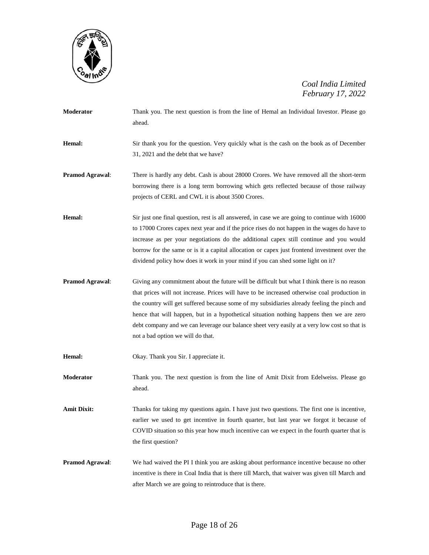

- **Moderator** Thank you. The next question is from the line of Hemal an Individual Investor. Please go ahead. **Hemal:** Sir thank you for the question. Very quickly what is the cash on the book as of December
- **Pramod Agrawal:** There is hardly any debt. Cash is about 28000 Crores. We have removed all the short-term borrowing there is a long term borrowing which gets reflected because of those railway

projects of CERL and CWL it is about 3500 Crores.

31, 2021 and the debt that we have?

- **Hemal:** Sir just one final question, rest is all answered, in case we are going to continue with 16000 to 17000 Crores capex next year and if the price rises do not happen in the wages do have to increase as per your negotiations do the additional capex still continue and you would borrow for the same or is it a capital allocation or capex just frontend investment over the dividend policy how does it work in your mind if you can shed some light on it?
- **Pramod Agrawal:** Giving any commitment about the future will be difficult but what I think there is no reason that prices will not increase. Prices will have to be increased otherwise coal production in the country will get suffered because some of my subsidiaries already feeling the pinch and hence that will happen, but in a hypothetical situation nothing happens then we are zero debt company and we can leverage our balance sheet very easily at a very low cost so that is not a bad option we will do that.
- **Hemal:** Okay. Thank you Sir. I appreciate it.
- **Moderator** Thank you. The next question is from the line of Amit Dixit from Edelweiss. Please go ahead.
- Amit Dixit: Thanks for taking my questions again. I have just two questions. The first one is incentive, earlier we used to get incentive in fourth quarter, but last year we forgot it because of COVID situation so this year how much incentive can we expect in the fourth quarter that is the first question?
- **Pramod Agrawal**: We had waived the PI I think you are asking about performance incentive because no other incentive is there in Coal India that is there till March, that waiver was given till March and after March we are going to reintroduce that is there.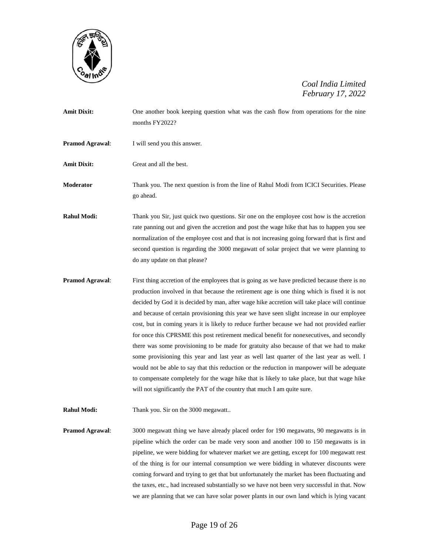

| <b>Amit Dixit:</b>     | One another book keeping question what was the cash flow from operations for the nine |
|------------------------|---------------------------------------------------------------------------------------|
|                        | months $FY2022?$                                                                      |
| <b>Pramod Agrawal:</b> | I will send you this answer.                                                          |

**Amit Dixit:** Great and all the best.

**Moderator** Thank you. The next question is from the line of Rahul Modi from ICICI Securities. Please go ahead.

**Rahul Modi:** Thank you Sir, just quick two questions. Sir one on the employee cost how is the accretion rate panning out and given the accretion and post the wage hike that has to happen you see normalization of the employee cost and that is not increasing going forward that is first and second question is regarding the 3000 megawatt of solar project that we were planning to do any update on that please?

- **Pramod Agrawal:** First thing accretion of the employees that is going as we have predicted because there is no production involved in that because the retirement age is one thing which is fixed it is not decided by God it is decided by man, after wage hike accretion will take place will continue and because of certain provisioning this year we have seen slight increase in our employee cost, but in coming years it is likely to reduce further because we had not provided earlier for once this CPRSME this post retirement medical benefit for nonexecutives, and secondly there was some provisioning to be made for gratuity also because of that we had to make some provisioning this year and last year as well last quarter of the last year as well. I would not be able to say that this reduction or the reduction in manpower will be adequate to compensate completely for the wage hike that is likely to take place, but that wage hike will not significantly the PAT of the country that much I am quite sure.
- **Rahul Modi:** Thank you. Sir on the 3000 megawatt..

**Pramod Agrawal**: 3000 megawatt thing we have already placed order for 190 megawatts, 90 megawatts is in pipeline which the order can be made very soon and another 100 to 150 megawatts is in pipeline, we were bidding for whatever market we are getting, except for 100 megawatt rest of the thing is for our internal consumption we were bidding in whatever discounts were coming forward and trying to get that but unfortunately the market has been fluctuating and the taxes, etc., had increased substantially so we have not been very successful in that. Now we are planning that we can have solar power plants in our own land which is lying vacant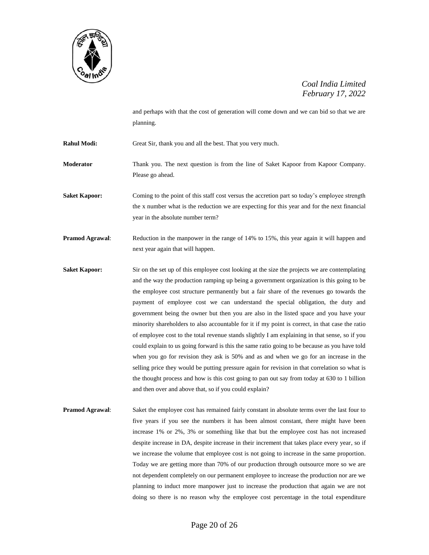

and perhaps with that the cost of generation will come down and we can bid so that we are planning.

**Rahul Modi:** Great Sir, thank you and all the best. That you very much.

**Moderator** Thank you. The next question is from the line of Saket Kapoor from Kapoor Company. Please go ahead.

Saket Kapoor: Coming to the point of this staff cost versus the accretion part so today's employee strength the x number what is the reduction we are expecting for this year and for the next financial year in the absolute number term?

**Pramod Agrawal:** Reduction in the manpower in the range of 14% to 15%, this year again it will happen and next year again that will happen.

**Saket Kapoor:** Sir on the set up of this employee cost looking at the size the projects we are contemplating and the way the production ramping up being a government organization is this going to be the employee cost structure permanently but a fair share of the revenues go towards the payment of employee cost we can understand the special obligation, the duty and government being the owner but then you are also in the listed space and you have your minority shareholders to also accountable for it if my point is correct, in that case the ratio of employee cost to the total revenue stands slightly I am explaining in that sense, so if you could explain to us going forward is this the same ratio going to be because as you have told when you go for revision they ask is 50% and as and when we go for an increase in the selling price they would be putting pressure again for revision in that correlation so what is the thought process and how is this cost going to pan out say from today at 630 to 1 billion and then over and above that, so if you could explain?

**Pramod Agrawal:** Saket the employee cost has remained fairly constant in absolute terms over the last four to five years if you see the numbers it has been almost constant, there might have been increase 1% or 2%, 3% or something like that but the employee cost has not increased despite increase in DA, despite increase in their increment that takes place every year, so if we increase the volume that employee cost is not going to increase in the same proportion. Today we are getting more than 70% of our production through outsource more so we are not dependent completely on our permanent employee to increase the production nor are we planning to induct more manpower just to increase the production that again we are not doing so there is no reason why the employee cost percentage in the total expenditure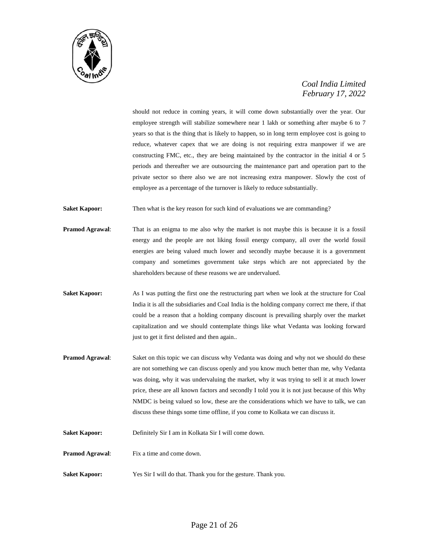

should not reduce in coming years, it will come down substantially over the year. Our employee strength will stabilize somewhere near 1 lakh or something after maybe 6 to 7 years so that is the thing that is likely to happen, so in long term employee cost is going to reduce, whatever capex that we are doing is not requiring extra manpower if we are constructing FMC, etc., they are being maintained by the contractor in the initial 4 or 5 periods and thereafter we are outsourcing the maintenance part and operation part to the private sector so there also we are not increasing extra manpower. Slowly the cost of employee as a percentage of the turnover is likely to reduce substantially.

**Saket Kapoor:** Then what is the key reason for such kind of evaluations we are commanding?

- **Pramod Agrawal:** That is an enigma to me also why the market is not maybe this is because it is a fossil energy and the people are not liking fossil energy company, all over the world fossil energies are being valued much lower and secondly maybe because it is a government company and sometimes government take steps which are not appreciated by the shareholders because of these reasons we are undervalued.
- **Saket Kapoor:** As I was putting the first one the restructuring part when we look at the structure for Coal India it is all the subsidiaries and Coal India is the holding company correct me there, if that could be a reason that a holding company discount is prevailing sharply over the market capitalization and we should contemplate things like what Vedanta was looking forward just to get it first delisted and then again..
- **Pramod Agrawal**: Saket on this topic we can discuss why Vedanta was doing and why not we should do these are not something we can discuss openly and you know much better than me, why Vedanta was doing, why it was undervaluing the market, why it was trying to sell it at much lower price, these are all known factors and secondly I told you it is not just because of this Why NMDC is being valued so low, these are the considerations which we have to talk, we can discuss these things some time offline, if you come to Kolkata we can discuss it.
- **Saket Kapoor:** Definitely Sir I am in Kolkata Sir I will come down.
- **Pramod Agrawal:** Fix a time and come down.
- **Saket Kapoor:** Yes Sir I will do that. Thank you for the gesture. Thank you.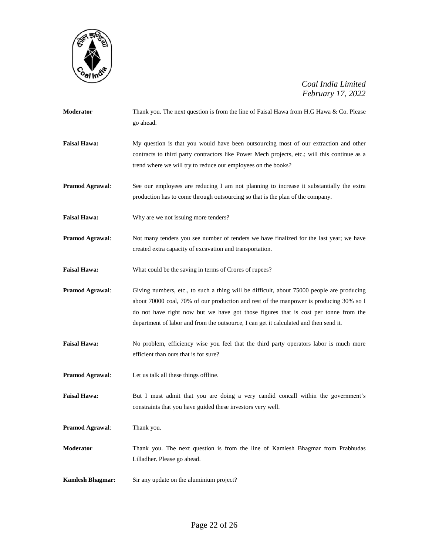

| Moderator               | Thank you. The next question is from the line of Faisal Hawa from H.G Hawa & Co. Please<br>go ahead.                                                                                                                                                                                                                                                                |
|-------------------------|---------------------------------------------------------------------------------------------------------------------------------------------------------------------------------------------------------------------------------------------------------------------------------------------------------------------------------------------------------------------|
| <b>Faisal Hawa:</b>     | My question is that you would have been outsourcing most of our extraction and other<br>contracts to third party contractors like Power Mech projects, etc.; will this continue as a<br>trend where we will try to reduce our employees on the books?                                                                                                               |
| Pramod Agrawal:         | See our employees are reducing I am not planning to increase it substantially the extra<br>production has to come through outsourcing so that is the plan of the company.                                                                                                                                                                                           |
| <b>Faisal Hawa:</b>     | Why are we not issuing more tenders?                                                                                                                                                                                                                                                                                                                                |
| <b>Pramod Agrawal:</b>  | Not many tenders you see number of tenders we have finalized for the last year; we have<br>created extra capacity of excavation and transportation.                                                                                                                                                                                                                 |
| <b>Faisal Hawa:</b>     | What could be the saving in terms of Crores of rupees?                                                                                                                                                                                                                                                                                                              |
| Pramod Agrawal:         | Giving numbers, etc., to such a thing will be difficult, about 75000 people are producing<br>about 70000 coal, 70% of our production and rest of the manpower is producing 30% so I<br>do not have right now but we have got those figures that is cost per tonne from the<br>department of labor and from the outsource, I can get it calculated and then send it. |
| <b>Faisal Hawa:</b>     | No problem, efficiency wise you feel that the third party operators labor is much more<br>efficient than ours that is for sure?                                                                                                                                                                                                                                     |
| Pramod Agrawal:         | Let us talk all these things offline.                                                                                                                                                                                                                                                                                                                               |
| <b>Faisal Hawa:</b>     | But I must admit that you are doing a very candid concall within the government's<br>constraints that you have guided these investors very well.                                                                                                                                                                                                                    |
| Pramod Agrawal:         | Thank you.                                                                                                                                                                                                                                                                                                                                                          |
| Moderator               | Thank you. The next question is from the line of Kamlesh Bhagmar from Prabhudas<br>Lilladher. Please go ahead.                                                                                                                                                                                                                                                      |
| <b>Kamlesh Bhagmar:</b> | Sir any update on the aluminium project?                                                                                                                                                                                                                                                                                                                            |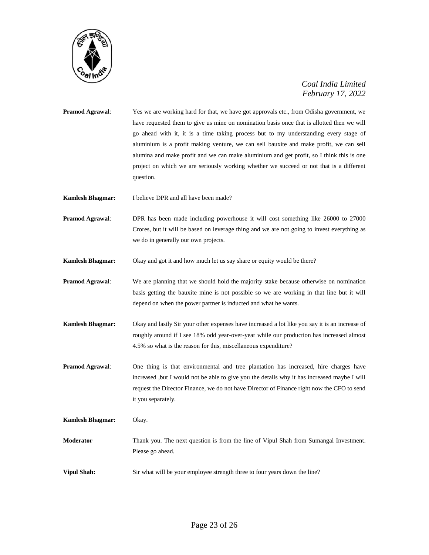

- **Pramod Agrawal**: Yes we are working hard for that, we have got approvals etc., from Odisha government, we have requested them to give us mine on nomination basis once that is allotted then we will go ahead with it, it is a time taking process but to my understanding every stage of aluminium is a profit making venture, we can sell bauxite and make profit, we can sell alumina and make profit and we can make aluminium and get profit, so I think this is one project on which we are seriously working whether we succeed or not that is a different question.
- **Kamlesh Bhagmar:** I believe DPR and all have been made?
- **Pramod Agrawal**: DPR has been made including powerhouse it will cost something like 26000 to 27000 Crores, but it will be based on leverage thing and we are not going to invest everything as we do in generally our own projects.
- **Kamlesh Bhagmar:** Okay and got it and how much let us say share or equity would be there?
- **Pramod Agrawal**: We are planning that we should hold the majority stake because otherwise on nomination basis getting the bauxite mine is not possible so we are working in that line but it will depend on when the power partner is inducted and what he wants.
- **Kamlesh Bhagmar:** Okay and lastly Sir your other expenses have increased a lot like you say it is an increase of roughly around if I see 18% odd year-over-year while our production has increased almost 4.5% so what is the reason for this, miscellaneous expenditure?
- **Pramod Agrawal**: One thing is that environmental and tree plantation has increased, hire charges have increased ,but I would not be able to give you the details why it has increased maybe I will request the Director Finance, we do not have Director of Finance right now the CFO to send it you separately.
- **Kamlesh Bhagmar:** Okay. **Moderator** Thank you. The next question is from the line of Vipul Shah from Sumangal Investment. Please go ahead.
- **Vipul Shah:** Sir what will be your employee strength three to four years down the line?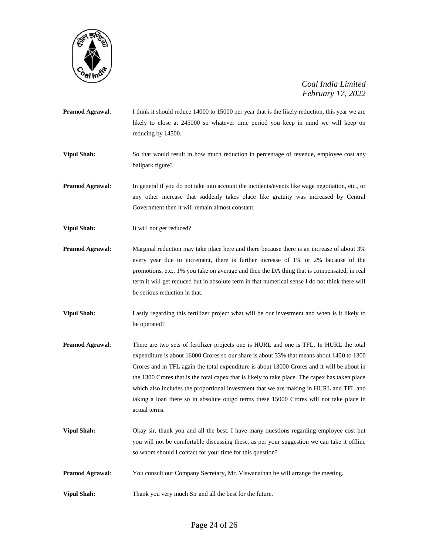

**Pramod Agrawal:** I think it should reduce 14000 to 15000 per year that is the likely reduction, this year we are likely to close at 245000 so whatever time period you keep in mind we will keep on reducing by 14500.

**Vipul Shah:** So that would result in how much reduction in percentage of revenue, employee cost any ballpark figure?

- **Pramod Agrawal:** In general if you do not take into account the incidents/events like wage negotiation, etc., or any other increase that suddenly takes place like gratuity was increased by Central Government then it will remain almost constant.
- **Vipul Shah:** It will not get reduced?
- **Pramod Agrawal**: Marginal reduction may take place here and there because there is an increase of about 3% every year due to increment, there is further increase of 1% or 2% because of the promotions, etc., 1% you take on average and then the DA thing that is compensated, in real term it will get reduced but in absolute term in that numerical sense I do not think there will be serious reduction in that.
- **Vipul Shah:** Lastly regarding this fertilizer project what will be our investment and when is it likely to be operated?
- **Pramod Agrawal**: There are two sets of fertilizer projects one is HURL and one is TFL. In HURL the total expenditure is about 16000 Crores so our share is about 33% that means about 1400 to 1300 Crores and in TFL again the total expenditure is about 13000 Crores and it will be about in the 1300 Crores that is the total capex that is likely to take place. The capex has taken place which also includes the proportional investment that we are making in HURL and TFL and taking a loan there so in absolute outgo terms these 15000 Crores will not take place in actual terms.
- **Vipul Shah:** Okay sir, thank you and all the best. I have many questions regarding employee cost but you will not be comfortable discussing these, as per your suggestion we can take it offline so whom should I contact for your time for this question?
- **Pramod Agrawal:** You consult our Company Secretary, Mr. Viswanathan he will arrange the meeting.
- **Vipul Shah:** Thank you very much Sir and all the best for the future.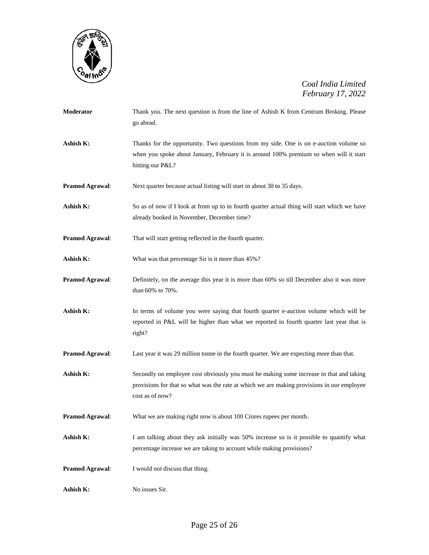

| Moderator              | Thank you. The next question is from the line of Ashish K from Centrum Broking. Please<br>go ahead.                                                                                                      |
|------------------------|----------------------------------------------------------------------------------------------------------------------------------------------------------------------------------------------------------|
| Ashish K:              | Thanks for the opportunity. Two questions from my side. One is on e-auction volume so<br>when you spoke about January, February it is around 100% premium so when will it start<br>hitting our P&L?      |
| Pramod Agrawal:        | Next quarter because actual listing will start in about 30 to 35 days.                                                                                                                                   |
| Ashish K:              | So as of now if I look at from up to in fourth quarter actual thing will start which we have<br>already booked in November, December time?                                                               |
| <b>Pramod Agrawal:</b> | That will start getting reflected in the fourth quarter.                                                                                                                                                 |
| Ashish K:              | What was that percentage Sir is it more than 45%?                                                                                                                                                        |
| <b>Pramod Agrawal:</b> | Definitely, on the average this year it is more than 60% so till December also it was more<br>than 60% to 70%.                                                                                           |
| Ashish K:              | In terms of volume you were saying that fourth quarter e-auction volume which will be<br>reported in P&L will be higher than what we reported in fourth quarter last year that is<br>right?              |
| <b>Pramod Agrawal:</b> | Last year it was 29 million tonne in the fourth quarter. We are expecting more than that.                                                                                                                |
| Ashish K:              | Secondly on employee cost obviously you must be making some increase in that and taking<br>provisions for that so what was the rate at which we are making provisions in our employee<br>cost as of now? |
| <b>Pramod Agrawal:</b> | What we are making right now is about 100 Crores rupees per month.                                                                                                                                       |
| Ashish K:              | I am talking about they ask initially was 50% increase so is it possible to quantify what<br>percentage increase we are taking to account while making provisions?                                       |
| <b>Pramod Agrawal:</b> | I would not discuss that thing.                                                                                                                                                                          |
| Ashish K:              | No issues Sir.                                                                                                                                                                                           |